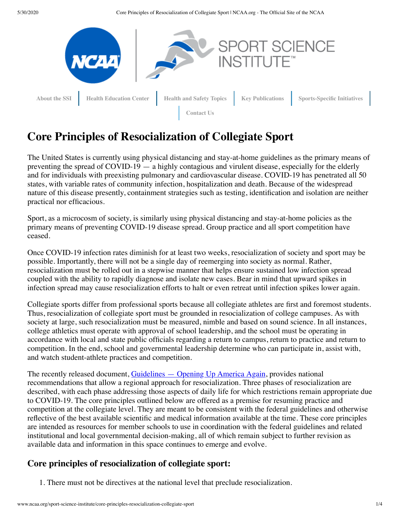5/30/2020 Core Principles of Resocialization of Collegiate Sport | NCAA.org - The Official Site of the NCAA



# **Core Principles of Resocialization of Collegiate Sport**

The United States is currently using physical distancing and stay-at-home guidelines as the primary means of preventing the spread of COVID-19 — a highly contagious and virulent disease, especially for the elderly and for individuals with preexisting pulmonary and cardiovascular disease. COVID-19 has penetrated all 50 states, with variable rates of community infection, hospitalization and death. Because of the widespread nature of this disease presently, containment strategies such as testing, identification and isolation are neither practical nor efficacious.

Sport, as a microcosm of society, is similarly using physical distancing and stay-at-home policies as the primary means of preventing COVID-19 disease spread. Group practice and all sport competition have ceased.

Once COVID-19 infection rates diminish for at least two weeks, resocialization of society and sport may be possible. Importantly, there will not be a single day of reemerging into society as normal. Rather, resocialization must be rolled out in a stepwise manner that helps ensure sustained low infection spread coupled with the ability to rapidly diagnose and isolate new cases. Bear in mind that upward spikes in infection spread may cause resocialization efforts to halt or even retreat until infection spikes lower again.

Collegiate sports differ from professional sports because all collegiate athletes are first and foremost students. Thus, resocialization of collegiate sport must be grounded in resocialization of college campuses. As with society at large, such resocialization must be measured, nimble and based on sound science. In all instances, college athletics must operate with approval of school leadership, and the school must be operating in accordance with local and state public officials regarding a return to campus, return to practice and return to competition. In the end, school and governmental leadership determine who can participate in, assist with, and watch student-athlete practices and competition.

The recently released document, [Guidelines — Opening Up America Again](https://www.whitehouse.gov/openingamerica/), provides national recommendations that allow a regional approach for resocialization. Three phases of resocialization are described, with each phase addressing those aspects of daily life for which restrictions remain appropriate due to COVID-19. The core principles outlined below are offered as a premise for resuming practice and competition at the collegiate level. They are meant to be consistent with the federal guidelines and otherwise reflective of the best available scientific and medical information available at the time. These core principles are intended as resources for member schools to use in coordination with the federal guidelines and related institutional and local governmental decision-making, all of which remain subject to further revision as available data and information in this space continues to emerge and evolve.

## **Core principles of resocialization of collegiate sport:**

1. There must not be directives at the national level that preclude resocialization.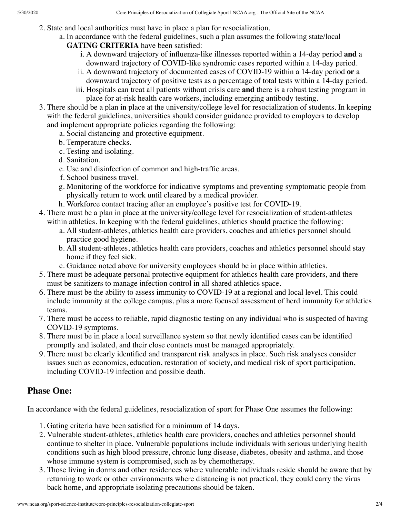- 2. State and local authorities must have in place a plan for resocialization.
	- a. In accordance with the federal guidelines, such a plan assumes the following state/local **GATING CRITERIA** have been satisfied:
		- i. A downward trajectory of influenza-like illnesses reported within a 14-day period **and** a downward trajectory of COVID-like syndromic cases reported within a 14-day period.
		- ii. A downward trajectory of documented cases of COVID-19 within a 14-day period **or** a downward trajectory of positive tests as a percentage of total tests within a 14-day period.
		- iii. Hospitals can treat all patients without crisis care **and** there is a robust testing program in place for at-risk health care workers, including emerging antibody testing.
- 3. There should be a plan in place at the university/college level for resocialization of students. In keeping with the federal guidelines, universities should consider guidance provided to employers to develop and implement appropriate policies regarding the following:
	- a. Social distancing and protective equipment.
	- b. Temperature checks.
	- c. Testing and isolating.
	- d. Sanitation.
	- e. Use and disinfection of common and high-traffic areas.
	- f. School business travel.
	- g. Monitoring of the workforce for indicative symptoms and preventing symptomatic people from physically return to work until cleared by a medical provider.
	- h. Workforce contact tracing after an employee's positive test for COVID-19.
- 4. There must be a plan in place at the university/college level for resocialization of student-athletes within athletics. In keeping with the federal guidelines, athletics should practice the following:
	- a. All student-athletes, athletics health care providers, coaches and athletics personnel should practice good hygiene.
	- b. All student-athletes, athletics health care providers, coaches and athletics personnel should stay home if they feel sick.
	- c. Guidance noted above for university employees should be in place within athletics.
- 5. There must be adequate personal protective equipment for athletics health care providers, and there must be sanitizers to manage infection control in all shared athletics space.
- 6. There must be the ability to assess immunity to COVID-19 at a regional and local level. This could include immunity at the college campus, plus a more focused assessment of herd immunity for athletics teams.
- 7. There must be access to reliable, rapid diagnostic testing on any individual who is suspected of having COVID-19 symptoms.
- 8. There must be in place a local surveillance system so that newly identified cases can be identified promptly and isolated, and their close contacts must be managed appropriately.
- 9. There must be clearly identified and transparent risk analyses in place. Such risk analyses consider issues such as economics, education, restoration of society, and medical risk of sport participation, including COVID-19 infection and possible death.

# **Phase One:**

In accordance with the federal guidelines, resocialization of sport for Phase One assumes the following:

- 1. Gating criteria have been satisfied for a minimum of 14 days.
- 2. Vulnerable student-athletes, athletics health care providers, coaches and athletics personnel should continue to shelter in place. Vulnerable populations include individuals with serious underlying health conditions such as high blood pressure, chronic lung disease, diabetes, obesity and asthma, and those whose immune system is compromised, such as by chemotherapy.
- 3. Those living in dorms and other residences where vulnerable individuals reside should be aware that by returning to work or other environments where distancing is not practical, they could carry the virus back home, and appropriate isolating precautions should be taken.